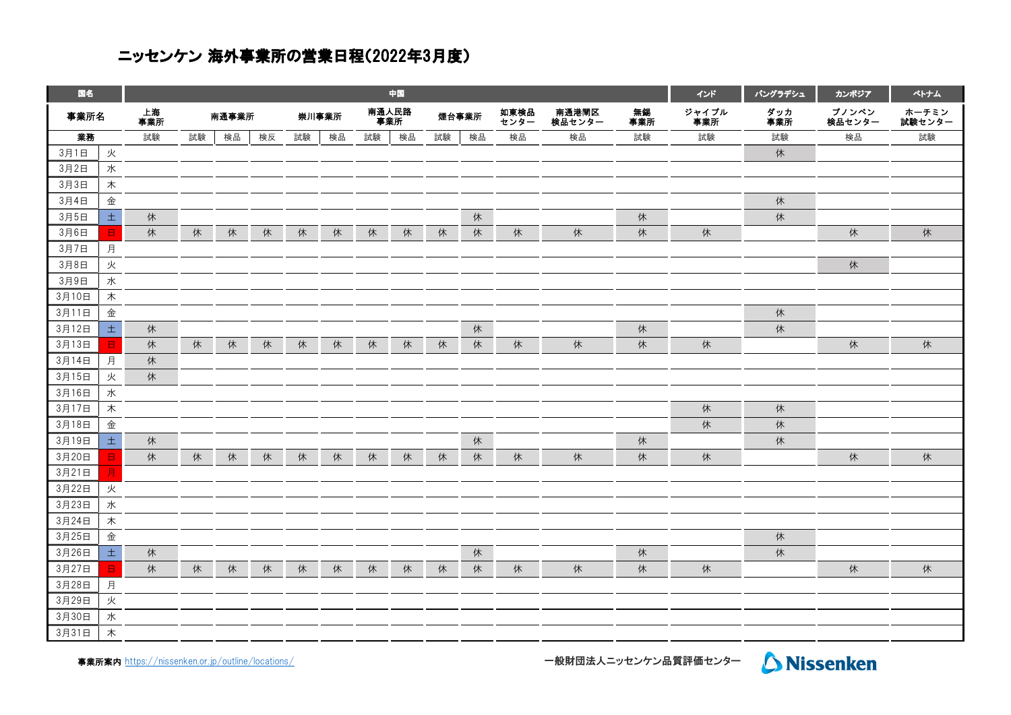## ニッセンケン 海外事業所の営業日程(2022年3月度)

| 国名    |        |           | 中国 |       |    |       |    |              |    |       |    |              |                 |           |              | バングラデシュ    | カンポジア           | ペトナム            |
|-------|--------|-----------|----|-------|----|-------|----|--------------|----|-------|----|--------------|-----------------|-----------|--------------|------------|-----------------|-----------------|
| 事業所名  |        | 上海<br>事業所 |    | 南通事業所 |    | 崇川事業所 |    | 南通人民路<br>事業所 |    | 煙台事業所 |    | 如東検品<br>センター | 南通港閘区<br>検品センター | 無錫<br>事業所 | ジャイプル<br>事業所 | ダッカ<br>事業所 | プノンペン<br>検品センター | ホーチミン<br>試験センター |
| 業務    |        | 試験        | 試験 | 検品    | 検反 | 試験    | 検品 | 試験           | 検品 | 試験    | 検品 | 検品           | 検品              | 試験        | 試験           | 試験         | 検品              | 試験              |
| 3月1日  | 火      |           |    |       |    |       |    |              |    |       |    |              |                 |           |              | 休          |                 |                 |
| 3月2日  | 水      |           |    |       |    |       |    |              |    |       |    |              |                 |           |              |            |                 |                 |
| 3月3日  | 木      |           |    |       |    |       |    |              |    |       |    |              |                 |           |              |            |                 |                 |
| 3月4日  | 金      |           |    |       |    |       |    |              |    |       |    |              |                 |           |              | 休          |                 |                 |
| 3月5日  | $\pm$  | 休         |    |       |    |       |    |              |    |       | 休  |              |                 | 休         |              | 休          |                 |                 |
| 3月6日  | $\Box$ | 休         | 休  | 休     | 休  | 休     | 休  | 休            | 休  | 休     | 休  | 休            | 休               | 休         | 休            |            | 休               | 休               |
| 3月7日  | 月      |           |    |       |    |       |    |              |    |       |    |              |                 |           |              |            |                 |                 |
| 3月8日  | 火      |           |    |       |    |       |    |              |    |       |    |              |                 |           |              |            | 休               |                 |
| 3月9日  | 水      |           |    |       |    |       |    |              |    |       |    |              |                 |           |              |            |                 |                 |
| 3月10日 | 木      |           |    |       |    |       |    |              |    |       |    |              |                 |           |              |            |                 |                 |
| 3月11日 | 金      |           |    |       |    |       |    |              |    |       |    |              |                 |           |              | 休          |                 |                 |
| 3月12日 | $\pm$  | 休         |    |       |    |       |    |              |    |       | 休  |              |                 | 休         |              | 休          |                 |                 |
| 3月13日 | 日      | 休         | 休  | 休     | 休  | 休     | 休  | 休            | 休  | 休     | 休  | 休            | 休               | 休         | 休            |            | 休               | 休               |
| 3月14日 | 月      | 休         |    |       |    |       |    |              |    |       |    |              |                 |           |              |            |                 |                 |
| 3月15日 | 火      | 休         |    |       |    |       |    |              |    |       |    |              |                 |           |              |            |                 |                 |
| 3月16日 | 水      |           |    |       |    |       |    |              |    |       |    |              |                 |           |              |            |                 |                 |
| 3月17日 | 木      |           |    |       |    |       |    |              |    |       |    |              |                 |           | 休            | 休          |                 |                 |
| 3月18日 | 金      |           |    |       |    |       |    |              |    |       |    |              |                 |           | 休            | 休          |                 |                 |
| 3月19日 | $\pm$  | 休         |    |       |    |       |    |              |    |       | 休  |              |                 | 休         |              | 休          |                 |                 |
| 3月20日 | Β      | 休         | 休  | 休     | 休  | 休     | 休  | 休            | 休  | 休     | 休  | 休            | 休               | 休         | 休            |            | 休               | 休               |
| 3月21日 | Е      |           |    |       |    |       |    |              |    |       |    |              |                 |           |              |            |                 |                 |
| 3月22日 | 火      |           |    |       |    |       |    |              |    |       |    |              |                 |           |              |            |                 |                 |
| 3月23日 | 水      |           |    |       |    |       |    |              |    |       |    |              |                 |           |              |            |                 |                 |
| 3月24日 | 木      |           |    |       |    |       |    |              |    |       |    |              |                 |           |              |            |                 |                 |
| 3月25日 | 金      |           |    |       |    |       |    |              |    |       |    |              |                 |           |              | 休          |                 |                 |
| 3月26日 | 土      | 休         |    |       |    |       |    |              |    |       | 休  |              |                 | 休         |              | 休          |                 |                 |
| 3月27日 | $\Box$ | 休         | 休  | 休     | 休  | 休     | 休  | 休            | 休  | 休     | 休  | 休            | 休               | 休         | 休            |            | 休               | 休               |
| 3月28日 | 月      |           |    |       |    |       |    |              |    |       |    |              |                 |           |              |            |                 |                 |
| 3月29日 | 火      |           |    |       |    |       |    |              |    |       |    |              |                 |           |              |            |                 |                 |
| 3月30日 | 水      |           |    |       |    |       |    |              |    |       |    |              |                 |           |              |            |                 |                 |
| 3月31日 | 木      |           |    |       |    |       |    |              |    |       |    |              |                 |           |              |            |                 |                 |

事業所案内 [https://nissen](https://nissenken.or.jp/outline/locations/)ken.or.jp/outline/locations/

ー<br>一般財団法人ニッセンケン品質評価センター Aissenken